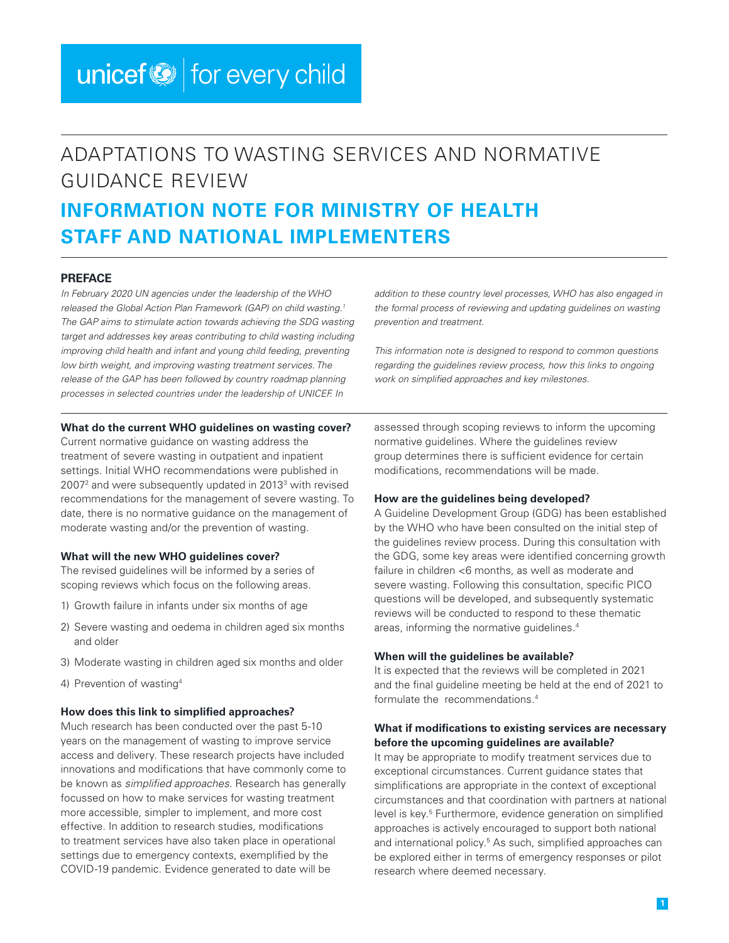# unicef $\bigcirc$  for every child

# ADAPTATIONS TO WASTING SERVICES AND NORMATIVE GUIDANCE REVIEW **INFORMATION NOTE FOR MINISTRY OF HEALTH STAFF AND NATIONAL IMPLEMENTERS**

#### **PREFACE**

*In February 2020 UN agencies under the leadership of the WHO released the Global Action Plan Framework (GAP) on child wasting.1 The GAP aims to stimulate action towards achieving the SDG wasting*  target and addresses key areas contributing to child wasting including *improving child health and infant and young child feeding, preventing low birth weight, and improving wasting treatment services. The release of the GAP has been followed by country roadmap planning processes in selected countries under the leadership of UNICEF. In* 

#### **What do the current WHO guidelines on wasting cover?**

Current normative guidance on wasting address the treatment of severe wasting in outpatient and inpatient settings. Initial WHO recommendations were published in 2007<sup>2</sup> and were subsequently updated in 2013<sup>3</sup> with revised recommendations for the management of severe wasting. To date, there is no normative guidance on the management of moderate wasting and/or the prevention of wasting.

#### **What will the new WHO guidelines cover?**

The revised guidelines will be informed by a series of scoping reviews which focus on the following areas.

- 1) Growth failure in infants under six months of age
- 2) Severe wasting and oedema in children aged six months and older
- 3) Moderate wasting in children aged six months and older
- 4) Prevention of wasting4

#### **How does this link to simplified approaches?**

Much research has been conducted over the past 5-10 years on the management of wasting to improve service access and delivery. These research projects have included innovations and modifications that have commonly come to be known as *simplified approaches.* Research has generally focussed on how to make services for wasting treatment more accessible, simpler to implement, and more cost effective. In addition to research studies, modifications to treatment services have also taken place in operational settings due to emergency contexts, exemplified by the COVID-19 pandemic. Evidence generated to date will be

*addition to these country level processes, WHO has also engaged in the formal process of reviewing and updating guidelines on wasting prevention and treatment.* 

*This information note is designed to respond to common questions regarding the guidelines review process, how this links to ongoing work on simplified approaches and key milestones.* 

assessed through scoping reviews to inform the upcoming normative guidelines. Where the guidelines review group determines there is sufficient evidence for certain modifications, recommendations will be made.

#### **How are the guidelines being developed?**

A Guideline Development Group (GDG) has been established by the WHO who have been consulted on the initial step of the guidelines review process. During this consultation with the GDG, some key areas were identified concerning growth failure in children <6 months, as well as moderate and severe wasting. Following this consultation, specific PICO questions will be developed, and subsequently systematic reviews will be conducted to respond to these thematic areas, informing the normative guidelines.<sup>4</sup>

#### **When will the guidelines be available?**

It is expected that the reviews will be completed in 2021 and the final guideline meeting be held at the end of 2021 to formulate the recommendations<sup>4</sup>

#### **What if modifications to existing services are necessary before the upcoming guidelines are available?**

It may be appropriate to modify treatment services due to exceptional circumstances. Current guidance states that simplifications are appropriate in the context of exceptional circumstances and that coordination with partners at national level is key.<sup>5</sup> Furthermore, evidence generation on simplified approaches is actively encouraged to support both national and international policy.<sup>5</sup> As such, simplified approaches can be explored either in terms of emergency responses or pilot research where deemed necessary.